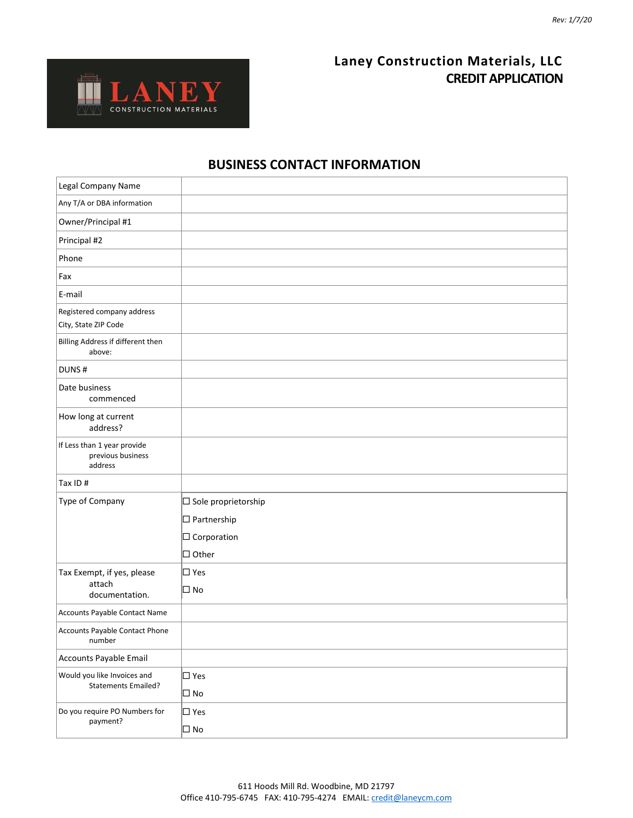## **Laney Construction Materials, LLC CREDIT APPLICATION**



### **BUSINESS CONTACT INFORMATION**

| Legal Company Name                                          |                               |
|-------------------------------------------------------------|-------------------------------|
| Any T/A or DBA information                                  |                               |
| Owner/Principal #1                                          |                               |
| Principal #2                                                |                               |
| Phone                                                       |                               |
| Fax                                                         |                               |
| E-mail                                                      |                               |
| Registered company address<br>City, State ZIP Code          |                               |
| Billing Address if different then<br>above:                 |                               |
| DUNS#                                                       |                               |
| Date business<br>commenced                                  |                               |
| How long at current<br>address?                             |                               |
| If Less than 1 year provide<br>previous business<br>address |                               |
| Tax ID#                                                     |                               |
| Type of Company                                             | $\square$ Sole proprietorship |
|                                                             | $\square$ Partnership         |
|                                                             | $\square$ Corporation         |
|                                                             | $\Box$ Other                  |
| Tax Exempt, if yes, please                                  | $\Box$ Yes                    |
| attach<br>documentation.                                    | $\square$ No                  |
| Accounts Payable Contact Name                               |                               |
| Accounts Payable Contact Phone<br>number                    |                               |
| Accounts Payable Email                                      |                               |
| Would you like Invoices and                                 | $\square$ Yes                 |
| <b>Statements Emailed?</b>                                  | $\square$ No                  |
| Do you require PO Numbers for<br>payment?                   | $\square$ Yes                 |
|                                                             | $\Box$ No                     |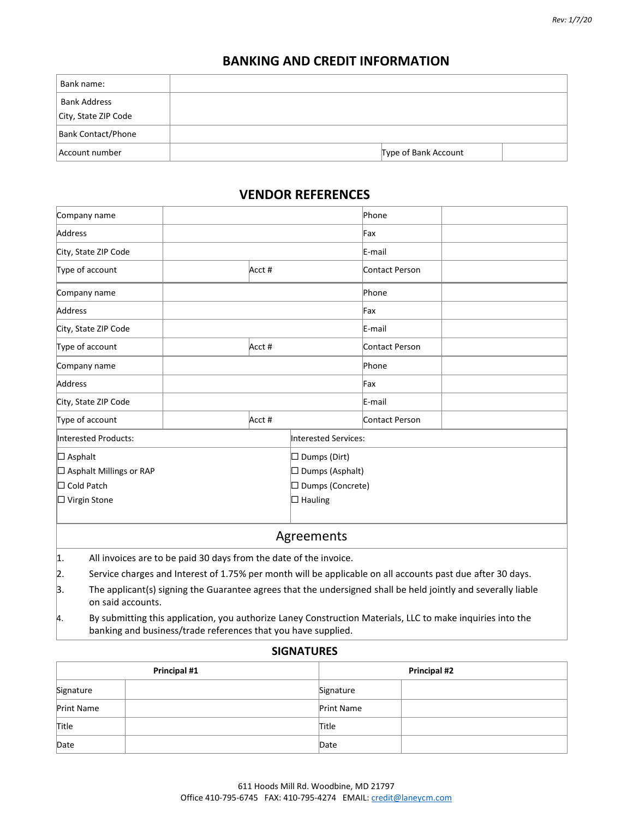#### **BANKING AND CREDIT INFORMATION**

| Bank name:                |                      |  |
|---------------------------|----------------------|--|
| <b>Bank Address</b>       |                      |  |
| City, State ZIP Code      |                      |  |
| <b>Bank Contact/Phone</b> |                      |  |
| Account number            | Type of Bank Account |  |

#### **VENDOR REFERENCES**

| Company name                   |                                                                                                                                                                             |        |                        | Phone                  |                       |  |
|--------------------------------|-----------------------------------------------------------------------------------------------------------------------------------------------------------------------------|--------|------------------------|------------------------|-----------------------|--|
|                                | Address                                                                                                                                                                     |        |                        |                        | Fax                   |  |
|                                | City, State ZIP Code                                                                                                                                                        |        |                        |                        | E-mail                |  |
|                                | Type of account                                                                                                                                                             | Acct # |                        |                        | Contact Person        |  |
|                                | Company name                                                                                                                                                                |        |                        | Phone                  |                       |  |
|                                | Address                                                                                                                                                                     |        |                        | Fax                    |                       |  |
|                                | City, State ZIP Code                                                                                                                                                        |        |                        |                        | E-mail                |  |
|                                | Type of account                                                                                                                                                             | Acct # |                        |                        | Contact Person        |  |
|                                | Company name                                                                                                                                                                |        |                        |                        | Phone                 |  |
| Address                        |                                                                                                                                                                             |        | Fax                    |                        |                       |  |
| City, State ZIP Code           |                                                                                                                                                                             |        | E-mail                 |                        |                       |  |
|                                | Type of account                                                                                                                                                             |        | Acct #                 |                        | <b>Contact Person</b> |  |
|                                | Interested Products:                                                                                                                                                        |        |                        | Interested Services:   |                       |  |
| $\square$ Asphalt              |                                                                                                                                                                             |        |                        | $\square$ Dumps (Dirt) |                       |  |
| $\Box$ Asphalt Millings or RAP |                                                                                                                                                                             |        | $\Box$ Dumps (Asphalt) |                        |                       |  |
| $\Box$ Cold Patch              |                                                                                                                                                                             |        | □ Dumps (Concrete)     |                        |                       |  |
| $\Box$ Virgin Stone            |                                                                                                                                                                             |        | $\Box$ Hauling         |                        |                       |  |
|                                |                                                                                                                                                                             |        |                        |                        |                       |  |
|                                |                                                                                                                                                                             |        |                        | Agreements             |                       |  |
| 1.                             | All invoices are to be paid 30 days from the date of the invoice.                                                                                                           |        |                        |                        |                       |  |
| 2.                             | Service charges and Interest of 1.75% per month will be applicable on all accounts past due after 30 days.                                                                  |        |                        |                        |                       |  |
| 3.                             | The applicant(s) signing the Guarantee agrees that the undersigned shall be held jointly and severally liable<br>on said accounts.                                          |        |                        |                        |                       |  |
| 4.                             | By submitting this application, you authorize Laney Construction Materials, LLC to make inquiries into the<br>banking and business/trade references that you have supplied. |        |                        |                        |                       |  |

#### **SIGNATURES**

| Principal #1      | <b>Principal #2</b> |
|-------------------|---------------------|
| Signature         | Signature           |
| <b>Print Name</b> | Print Name          |
| Title             | Title               |
| Date              | Date                |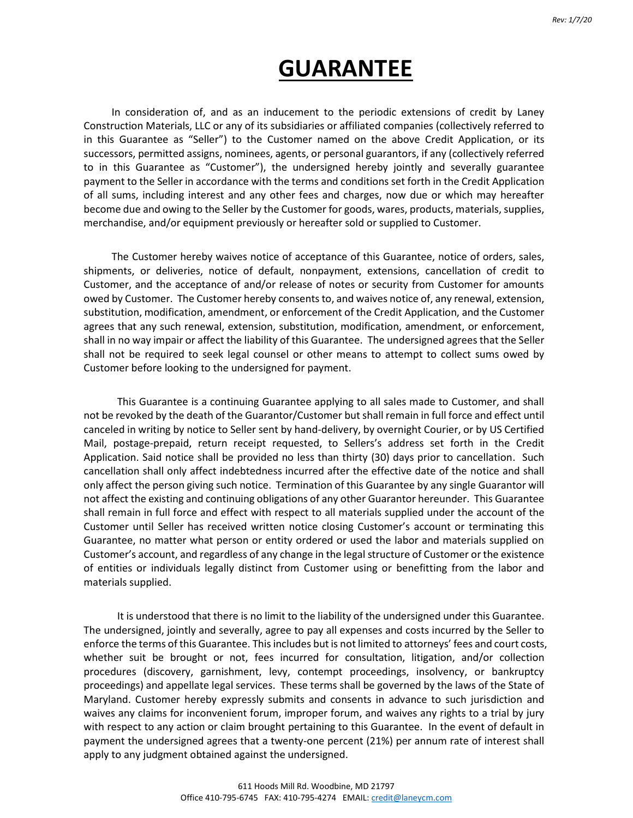# **GUARANTEE**

In consideration of, and as an inducement to the periodic extensions of credit by Laney Construction Materials, LLC or any of its subsidiaries or affiliated companies (collectively referred to in this Guarantee as "Seller") to the Customer named on the above Credit Application, or its successors, permitted assigns, nominees, agents, or personal guarantors, if any (collectively referred to in this Guarantee as "Customer"), the undersigned hereby jointly and severally guarantee payment to the Seller in accordance with the terms and conditions set forth in the Credit Application of all sums, including interest and any other fees and charges, now due or which may hereafter become due and owing to the Seller by the Customer for goods, wares, products, materials, supplies, merchandise, and/or equipment previously or hereafter sold or supplied to Customer.

The Customer hereby waives notice of acceptance of this Guarantee, notice of orders, sales, shipments, or deliveries, notice of default, nonpayment, extensions, cancellation of credit to Customer, and the acceptance of and/or release of notes or security from Customer for amounts owed by Customer. The Customer hereby consents to, and waives notice of, any renewal, extension, substitution, modification, amendment, or enforcement of the Credit Application, and the Customer agrees that any such renewal, extension, substitution, modification, amendment, or enforcement, shall in no way impair or affect the liability of this Guarantee. The undersigned agrees that the Seller shall not be required to seek legal counsel or other means to attempt to collect sums owed by Customer before looking to the undersigned for payment.

This Guarantee is a continuing Guarantee applying to all sales made to Customer, and shall not be revoked by the death of the Guarantor/Customer but shall remain in full force and effect until canceled in writing by notice to Seller sent by hand-delivery, by overnight Courier, or by US Certified Mail, postage-prepaid, return receipt requested, to Sellers's address set forth in the Credit Application. Said notice shall be provided no less than thirty (30) days prior to cancellation. Such cancellation shall only affect indebtedness incurred after the effective date of the notice and shall only affect the person giving such notice. Termination of this Guarantee by any single Guarantor will not affect the existing and continuing obligations of any other Guarantor hereunder. This Guarantee shall remain in full force and effect with respect to all materials supplied under the account of the Customer until Seller has received written notice closing Customer's account or terminating this Guarantee, no matter what person or entity ordered or used the labor and materials supplied on Customer's account, and regardless of any change in the legal structure of Customer or the existence of entities or individuals legally distinct from Customer using or benefitting from the labor and materials supplied.

It is understood that there is no limit to the liability of the undersigned under this Guarantee. The undersigned, jointly and severally, agree to pay all expenses and costs incurred by the Seller to enforce the terms of this Guarantee. This includes but is not limited to attorneys' fees and court costs, whether suit be brought or not, fees incurred for consultation, litigation, and/or collection procedures (discovery, garnishment, levy, contempt proceedings, insolvency, or bankruptcy proceedings) and appellate legal services. These terms shall be governed by the laws of the State of Maryland. Customer hereby expressly submits and consents in advance to such jurisdiction and waives any claims for inconvenient forum, improper forum, and waives any rights to a trial by jury with respect to any action or claim brought pertaining to this Guarantee. In the event of default in payment the undersigned agrees that a twenty-one percent (21%) per annum rate of interest shall apply to any judgment obtained against the undersigned.